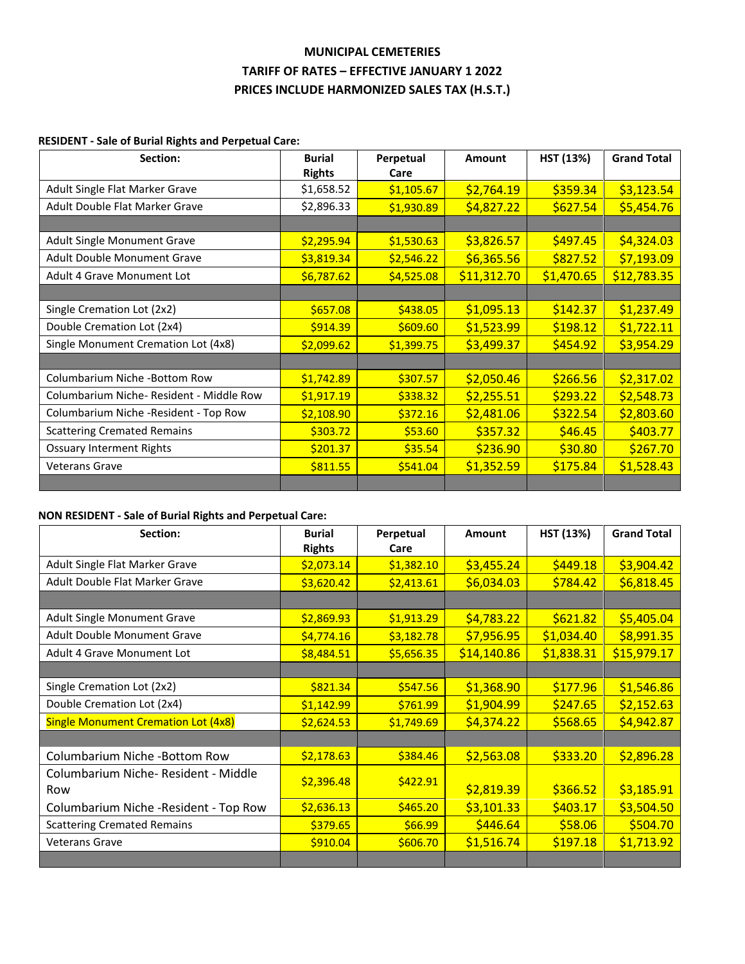## **MUNICIPAL CEMETERIES TARIFF OF RATES – EFFECTIVE JANUARY 1 2022 PRICES INCLUDE HARMONIZED SALES TAX (H.S.T.)**

### **RESIDENT - Sale of Burial Rights and Perpetual Care:**

| Section:                                | <b>Burial</b><br><b>Rights</b> | Perpetual<br>Care | Amount      | HST (13%)  | <b>Grand Total</b> |
|-----------------------------------------|--------------------------------|-------------------|-------------|------------|--------------------|
| Adult Single Flat Marker Grave          | \$1,658.52                     | \$1,105.67        | \$2,764.19  | \$359.34   | \$3,123.54         |
| Adult Double Flat Marker Grave          | \$2,896.33                     | \$1,930.89        | \$4,827.22  | \$627.54   | \$5,454.76         |
|                                         |                                |                   |             |            |                    |
| Adult Single Monument Grave             | \$2,295.94                     | \$1,530.63        | \$3,826.57  | \$497.45   | \$4,324.03         |
| <b>Adult Double Monument Grave</b>      | \$3,819.34                     | \$2,546.22        | \$6,365.56  | \$827.52   | \$7,193.09         |
| Adult 4 Grave Monument Lot              | \$6,787.62                     | \$4,525.08        | \$11,312.70 | \$1,470.65 | \$12,783.35        |
|                                         |                                |                   |             |            |                    |
| Single Cremation Lot (2x2)              | \$657.08                       | \$438.05          | \$1,095.13  | \$142.37   | \$1,237.49         |
| Double Cremation Lot (2x4)              | \$914.39                       | \$609.60          | \$1,523.99  | \$198.12   | \$1,722.11         |
| Single Monument Cremation Lot (4x8)     | \$2,099.62                     | \$1,399.75        | \$3,499.37  | \$454.92   | \$3,954.29         |
|                                         |                                |                   |             |            |                    |
| Columbarium Niche -Bottom Row           | \$1,742.89                     | \$307.57          | \$2,050.46  | \$266.56   | \$2,317.02         |
| Columbarium Niche-Resident - Middle Row | \$1,917.19                     | \$338.32          | \$2,255.51  | \$293.22   | \$2,548.73         |
| Columbarium Niche -Resident - Top Row   | \$2,108.90                     | \$372.16          | \$2,481.06  | \$322.54   | \$2,803.60         |
| <b>Scattering Cremated Remains</b>      | \$303.72                       | \$53.60           | \$357.32    | \$46.45    | \$403.77           |
| <b>Ossuary Interment Rights</b>         | \$201.37                       | \$35.54           | \$236.90    | \$30.80    | \$267.70           |
| <b>Veterans Grave</b>                   | \$811.55                       | \$541.04          | \$1,352.59  | \$175.84   | \$1,528.43         |
|                                         |                                |                   |             |            |                    |

### **NON RESIDENT - Sale of Burial Rights and Perpetual Care:**

| Section:                                   | <b>Burial</b><br><b>Rights</b> | Perpetual<br>Care | Amount      | HST (13%)  | <b>Grand Total</b> |
|--------------------------------------------|--------------------------------|-------------------|-------------|------------|--------------------|
| Adult Single Flat Marker Grave             | \$2,073.14                     | \$1,382.10        | \$3,455.24  | \$449.18   | \$3,904.42         |
| Adult Double Flat Marker Grave             | \$3,620.42                     | \$2,413.61        | \$6,034.03  | \$784.42   | \$6,818.45         |
|                                            |                                |                   |             |            |                    |
| Adult Single Monument Grave                | \$2,869.93                     | \$1,913.29        | \$4,783.22  | \$621.82   | \$5,405.04         |
| Adult Double Monument Grave                | \$4,774.16                     | \$3,182.78        | \$7,956.95  | \$1,034.40 | \$8,991.35         |
| Adult 4 Grave Monument Lot                 | \$8,484.51                     | \$5,656.35        | \$14,140.86 | \$1,838.31 | \$15,979.17        |
|                                            |                                |                   |             |            |                    |
| Single Cremation Lot (2x2)                 | \$821.34                       | \$547.56          | \$1,368.90  | \$177.96   | \$1,546.86         |
| Double Cremation Lot (2x4)                 | \$1,142.99                     | \$761.99          | \$1,904.99  | \$247.65   | \$2,152.63         |
| <b>Single Monument Cremation Lot (4x8)</b> | \$2,624.53                     | \$1,749.69        | \$4,374.22  | \$568.65   | \$4,942.87         |
|                                            |                                |                   |             |            |                    |
| Columbarium Niche -Bottom Row              | \$2,178.63                     | \$384.46          | \$2,563.08  | \$333.20   | \$2,896.28         |
| Columbarium Niche-Resident - Middle        | \$2,396.48                     | \$422.91          |             |            |                    |
| Row                                        |                                |                   | \$2,819.39  | \$366.52   | \$3,185.91         |
| Columbarium Niche -Resident - Top Row      | \$2,636.13                     | \$465.20          | \$3,101.33  | \$403.17   | \$3,504.50         |
| <b>Scattering Cremated Remains</b>         | \$379.65                       | \$66.99           | \$446.64    | \$58.06    | \$504.70           |
| <b>Veterans Grave</b>                      | \$910.04                       | \$606.70          | \$1,516.74  | \$197.18   | \$1,713.92         |
|                                            |                                |                   |             |            |                    |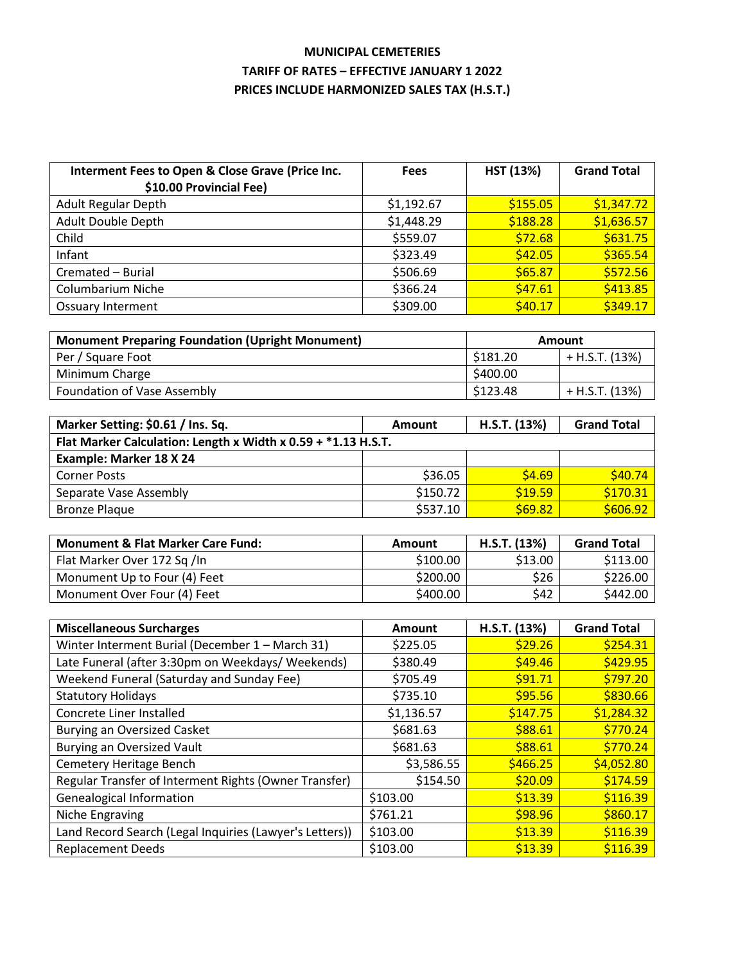# **MUNICIPAL CEMETERIES TARIFF OF RATES – EFFECTIVE JANUARY 1 2022 PRICES INCLUDE HARMONIZED SALES TAX (H.S.T.)**

| Interment Fees to Open & Close Grave (Price Inc.<br>\$10.00 Provincial Fee) | <b>Fees</b> | <b>HST (13%)</b> | <b>Grand Total</b> |
|-----------------------------------------------------------------------------|-------------|------------------|--------------------|
| <b>Adult Regular Depth</b>                                                  | \$1,192.67  | \$155.05         | \$1,347.72         |
| Adult Double Depth                                                          | \$1,448.29  | \$188.28         | \$1,636.57         |
| Child                                                                       | \$559.07    | \$72.68          | \$631.75           |
| Infant                                                                      | \$323.49    | \$42.05          | \$365.54           |
| Cremated - Burial                                                           | \$506.69    | \$65.87          | \$572.56           |
| <b>Columbarium Niche</b>                                                    | \$366.24    | \$47.61          | \$413.85           |
| <b>Ossuary Interment</b>                                                    | \$309.00    | \$40.17          | \$349.17           |

| <b>Monument Preparing Foundation (Upright Monument)</b><br><b>Amount</b> |          |                |
|--------------------------------------------------------------------------|----------|----------------|
| Per / Square Foot                                                        | \$181.20 | + H.S.T. (13%) |
| Minimum Charge                                                           | \$400.00 |                |
| Foundation of Vase Assembly                                              | \$123.48 | + H.S.T. (13%) |

| Marker Setting: \$0.61 / Ins. Sq.                               | Amount   | H.S.T. (13%) | <b>Grand Total</b> |  |
|-----------------------------------------------------------------|----------|--------------|--------------------|--|
| Flat Marker Calculation: Length x Width x $0.59 + *1.13$ H.S.T. |          |              |                    |  |
| Example: Marker 18 X 24                                         |          |              |                    |  |
| <b>Corner Posts</b>                                             | \$36.05  | \$4.69       | \$40.74            |  |
| Separate Vase Assembly                                          | \$150.72 | \$19.59      | \$170.31           |  |
| <b>Bronze Plaque</b>                                            | \$537.10 | \$69.82      | \$606.92           |  |

| <b>Monument &amp; Flat Marker Care Fund:</b> | Amount   | H.S.T. (13%) | <b>Grand Total</b> |
|----------------------------------------------|----------|--------------|--------------------|
| Flat Marker Over 172 Sq /In                  | \$100.00 | \$13.00      | \$113.00           |
| Monument Up to Four (4) Feet                 | \$200.00 | \$26         | \$226.00           |
| Monument Over Four (4) Feet                  | \$400.00 | \$42         | \$442.00           |

| <b>Miscellaneous Surcharges</b>                         | Amount     | H.S.T. (13%) | <b>Grand Total</b> |
|---------------------------------------------------------|------------|--------------|--------------------|
| Winter Interment Burial (December 1 - March 31)         | \$225.05   | \$29.26      | \$254.31           |
| Late Funeral (after 3:30pm on Weekdays/ Weekends)       | \$380.49   | \$49.46      | \$429.95           |
| Weekend Funeral (Saturday and Sunday Fee)               | \$705.49   | \$91.71      | \$797.20           |
| <b>Statutory Holidays</b>                               | \$735.10   | \$95.56      | \$830.66           |
| Concrete Liner Installed                                | \$1,136.57 | \$147.75     | \$1,284.32         |
| Burying an Oversized Casket                             | \$681.63   | \$88.61      | \$770.24           |
| <b>Burying an Oversized Vault</b>                       | \$681.63   | \$88.61      | \$770.24           |
| Cemetery Heritage Bench                                 | \$3,586.55 | \$466.25     | \$4,052.80         |
| Regular Transfer of Interment Rights (Owner Transfer)   | \$154.50   | \$20.09      | \$174.59           |
| <b>Genealogical Information</b>                         | \$103.00   | \$13.39      | \$116.39           |
| Niche Engraving                                         | \$761.21   | \$98.96      | \$860.17           |
| Land Record Search (Legal Inquiries (Lawyer's Letters)) | \$103.00   | \$13.39      | \$116.39           |
| <b>Replacement Deeds</b>                                | \$103.00   | \$13.39      | \$116.39           |